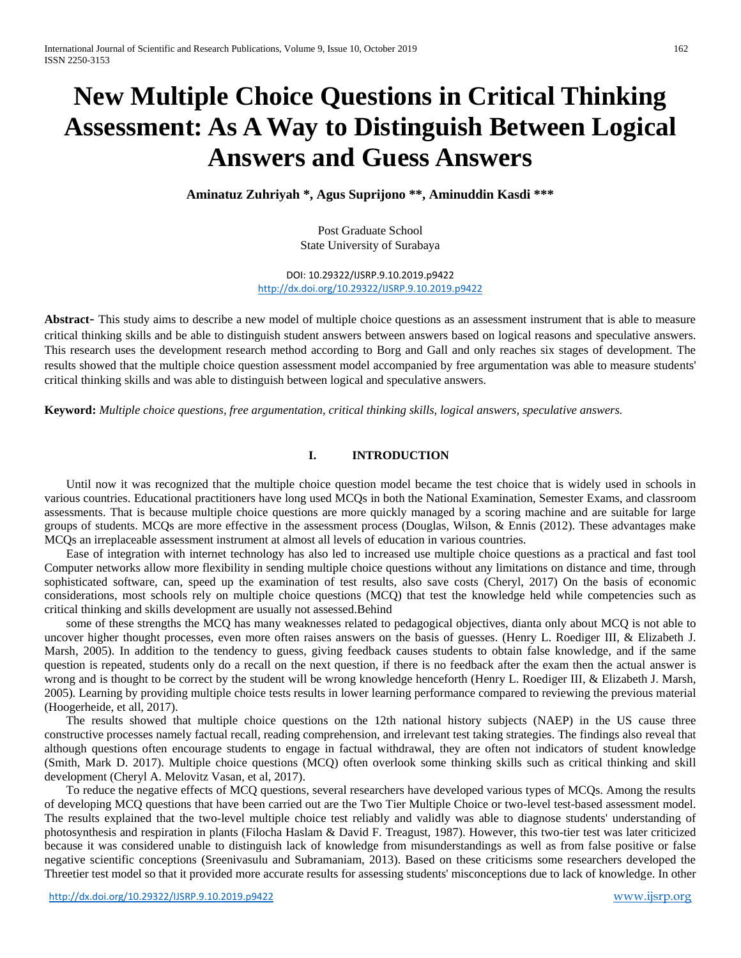# **New Multiple Choice Questions in Critical Thinking Assessment: As A Way to Distinguish Between Logical Answers and Guess Answers**

**Aminatuz Zuhriyah \*, Agus Suprijono \*\*, Aminuddin Kasdi \*\*\***

Post Graduate School State University of Surabaya

DOI: 10.29322/IJSRP.9.10.2019.p9422 <http://dx.doi.org/10.29322/IJSRP.9.10.2019.p9422>

**Abstract***-* This study aims to describe a new model of multiple choice questions as an assessment instrument that is able to measure critical thinking skills and be able to distinguish student answers between answers based on logical reasons and speculative answers. This research uses the development research method according to Borg and Gall and only reaches six stages of development. The results showed that the multiple choice question assessment model accompanied by free argumentation was able to measure students' critical thinking skills and was able to distinguish between logical and speculative answers.

**Keyword:** *Multiple choice questions, free argumentation, critical thinking skills, logical answers, speculative answers.*

## **I. INTRODUCTION**

Until now it was recognized that the multiple choice question model became the test choice that is widely used in schools in various countries. Educational practitioners have long used MCQs in both the National Examination, Semester Exams, and classroom assessments. That is because multiple choice questions are more quickly managed by a scoring machine and are suitable for large groups of students. MCQs are more effective in the assessment process (Douglas, Wilson, & Ennis (2012). These advantages make MCQs an irreplaceable assessment instrument at almost all levels of education in various countries.

Ease of integration with internet technology has also led to increased use multiple choice questions as a practical and fast tool Computer networks allow more flexibility in sending multiple choice questions without any limitations on distance and time, through sophisticated software, can, speed up the examination of test results, also save costs (Cheryl, 2017) On the basis of economic considerations, most schools rely on multiple choice questions (MCQ) that test the knowledge held while competencies such as critical thinking and skills development are usually not assessed.Behind

some of these strengths the MCQ has many weaknesses related to pedagogical objectives, dianta only about MCQ is not able to uncover higher thought processes, even more often raises answers on the basis of guesses. (Henry L. Roediger III, & Elizabeth J. Marsh, 2005). In addition to the tendency to guess, giving feedback causes students to obtain false knowledge, and if the same question is repeated, students only do a recall on the next question, if there is no feedback after the exam then the actual answer is wrong and is thought to be correct by the student will be wrong knowledge henceforth (Henry L. Roediger III, & Elizabeth J. Marsh, 2005). Learning by providing multiple choice tests results in lower learning performance compared to reviewing the previous material (Hoogerheide, et all, 2017).

The results showed that multiple choice questions on the 12th national history subjects (NAEP) in the US cause three constructive processes namely factual recall, reading comprehension, and irrelevant test taking strategies. The findings also reveal that although questions often encourage students to engage in factual withdrawal, they are often not indicators of student knowledge (Smith, Mark D. 2017). Multiple choice questions (MCQ) often overlook some thinking skills such as critical thinking and skill development [\(Cheryl A. Melovitz Vasan,](https://onlinelibrary.wiley.com/action/doSearch?ContribAuthorStored=Melovitz+Vasan%2C+Cheryl+A) et al, 2017).

To reduce the negative effects of MCQ questions, several researchers have developed various types of MCQs. Among the results of developing MCQ questions that have been carried out are the Two Tier Multiple Choice or two-level test-based assessment model. The results explained that the two-level multiple choice test reliably and validly was able to diagnose students' understanding of photosynthesis and respiration in plants (Filocha Haslam & David F. Treagust, 1987). However, this two-tier test was later criticized because it was considered unable to distinguish lack of knowledge from misunderstandings as well as from false positive or false negative scientific conceptions (Sreenivasulu and Subramaniam, 2013). Based on these criticisms some researchers developed the Threetier test model so that it provided more accurate results for assessing students' misconceptions due to lack of knowledge. In other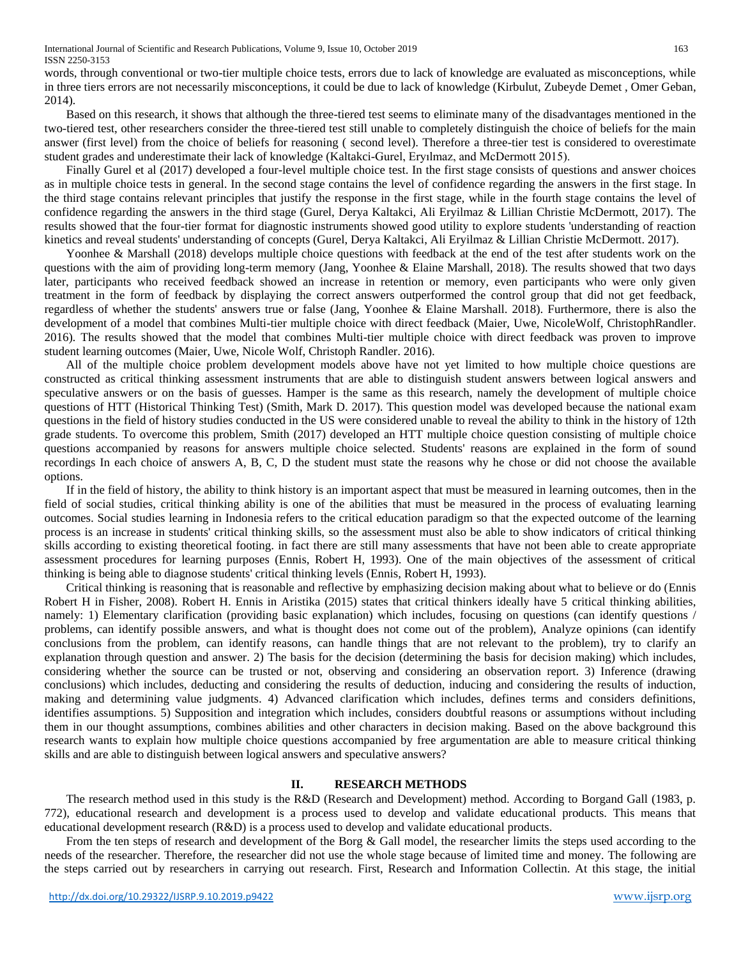International Journal of Scientific and Research Publications, Volume 9, Issue 10, October 2019 163 ISSN 2250-3153

words, through conventional or two-tier multiple choice tests, errors due to lack of knowledge are evaluated as misconceptions, while in three tiers errors are not necessarily misconceptions, it could be due to lack of knowledge (Kirbulut, [Zubeyde Demet](http://www.ejmste.com/Author-Zubeyde%20Demet-Kirbulut/61883) , [Omer Geban,](http://www.ejmste.com/Author-Omer-Geban/31473) 2014).

Based on this research, it shows that although the three-tiered test seems to eliminate many of the disadvantages mentioned in the two-tiered test, other researchers consider the three-tiered test still unable to completely distinguish the choice of beliefs for the main answer (first level) from the choice of beliefs for reasoning ( second level). Therefore a three-tier test is considered to overestimate student grades and underestimate their lack of knowledge (Kaltakci-Gurel, Eryılmaz, and McDermott 2015).

Finally Gurel et al (2017) developed a four-level multiple choice test. In the first stage consists of questions and answer choices as in multiple choice tests in general. In the second stage contains the level of confidence regarding the answers in the first stage. In the third stage contains relevant principles that justify the response in the first stage, while in the fourth stage contains the level of confidence regarding the answers in the third stage (Gurel, Derya Kaltakci, Ali Eryilmaz & Lillian Christie McDermott, 2017). The results showed that the four-tier format for diagnostic instruments showed good utility to explore students 'understanding of reaction kinetics and reveal students' understanding of concepts (Gurel, Derya Kaltakci, Ali Eryilmaz & Lillian Christie McDermott. 2017).

Yoonhee & Marshall (2018) develops multiple choice questions with feedback at the end of the test after students work on the questions with the aim of providing long-term memory (Jang, Yoonhee & Elaine Marshall, 2018). The results showed that two days later, participants who received feedback showed an increase in retention or memory, even participants who were only given treatment in the form of feedback by displaying the correct answers outperformed the control group that did not get feedback, regardless of whether the students' answers true or false (Jang, Yoonhee & Elaine Marshall. 2018). Furthermore, there is also the development of a model that combines Multi-tier multiple choice with direct feedback (Maier, [Uwe, NicoleWolf, ChristophRandler.](https://www.sciencedirect.com/science/article/pii/S0360131515300919#!) 2016). The results showed that the model that combines Multi-tier multiple choice with direct feedback was proven to improve student learning outcomes (Maier, [Uwe, Nicole Wolf, Christoph Randler.](https://www.sciencedirect.com/science/article/pii/S0360131515300919#!) 2016).

All of the multiple choice problem development models above have not yet limited to how multiple choice questions are constructed as critical thinking assessment instruments that are able to distinguish student answers between logical answers and speculative answers or on the basis of guesses. Hamper is the same as this research, namely the development of multiple choice questions of HTT (Historical Thinking Test) (Smith, Mark D. 2017). This question model was developed because the national exam questions in the field of history studies conducted in the US were considered unable to reveal the ability to think in the history of 12th grade students. To overcome this problem, Smith (2017) developed an HTT multiple choice question consisting of multiple choice questions accompanied by reasons for answers multiple choice selected. Students' reasons are explained in the form of sound recordings In each choice of answers A, B, C, D the student must state the reasons why he chose or did not choose the available options.

If in the field of history, the ability to think history is an important aspect that must be measured in learning outcomes, then in the field of social studies, critical thinking ability is one of the abilities that must be measured in the process of evaluating learning outcomes. Social studies learning in Indonesia refers to the critical education paradigm so that the expected outcome of the learning process is an increase in students' critical thinking skills, so the assessment must also be able to show indicators of critical thinking skills according to existing theoretical footing. in fact there are still many assessments that have not been able to create appropriate assessment procedures for learning purposes (Ennis, Robert H, 1993). One of the main objectives of the assessment of critical thinking is being able to diagnose students' critical thinking levels (Ennis, Robert H, 1993).

Critical thinking is reasoning that is reasonable and reflective by emphasizing decision making about what to believe or do (Ennis Robert H in Fisher, 2008). Robert H. Ennis in Aristika (2015) states that critical thinkers ideally have 5 critical thinking abilities, namely: 1) Elementary clarification (providing basic explanation) which includes, focusing on questions (can identify questions / problems, can identify possible answers, and what is thought does not come out of the problem), Analyze opinions (can identify conclusions from the problem, can identify reasons, can handle things that are not relevant to the problem), try to clarify an explanation through question and answer. 2) The basis for the decision (determining the basis for decision making) which includes, considering whether the source can be trusted or not, observing and considering an observation report. 3) Inference (drawing conclusions) which includes, deducting and considering the results of deduction, inducing and considering the results of induction, making and determining value judgments. 4) Advanced clarification which includes, defines terms and considers definitions, identifies assumptions. 5) Supposition and integration which includes, considers doubtful reasons or assumptions without including them in our thought assumptions, combines abilities and other characters in decision making. Based on the above background this research wants to explain how multiple choice questions accompanied by free argumentation are able to measure critical thinking skills and are able to distinguish between logical answers and speculative answers?

#### **II. RESEARCH METHODS**

The research method used in this study is the R&D (Research and Development) method. According to Borgand Gall (1983, p. 772), educational research and development is a process used to develop and validate educational products. This means that educational development research (R&D) is a process used to develop and validate educational products.

From the ten steps of research and development of the Borg & Gall model, the researcher limits the steps used according to the needs of the researcher. Therefore, the researcher did not use the whole stage because of limited time and money. The following are the steps carried out by researchers in carrying out research. First, Research and Information Collectin. At this stage, the initial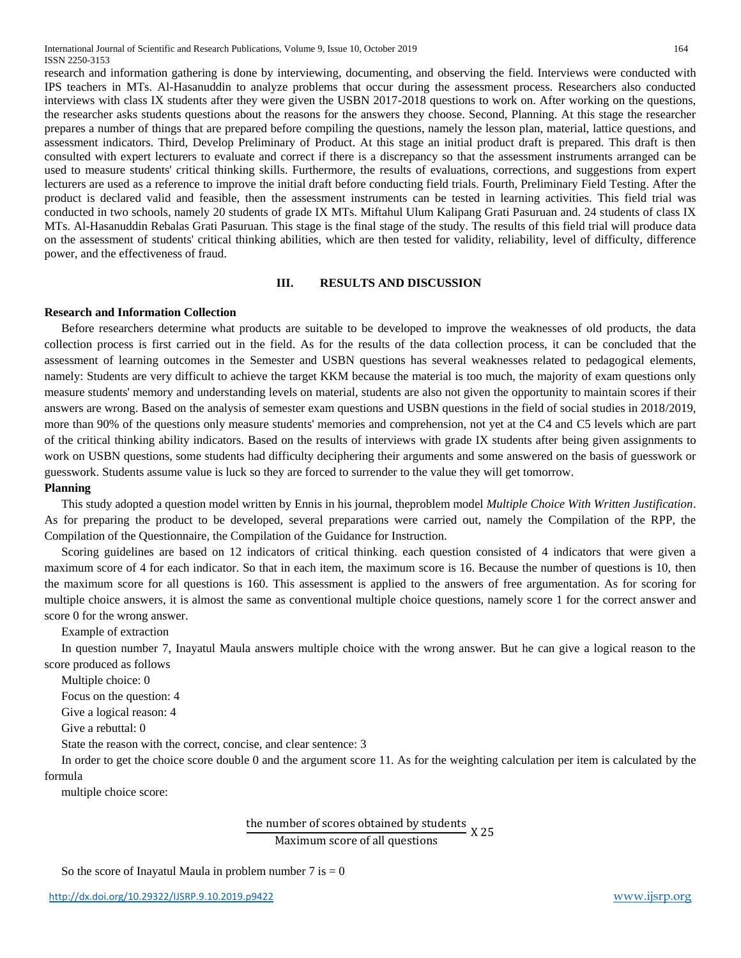International Journal of Scientific and Research Publications, Volume 9, Issue 10, October 2019 164 ISSN 2250-3153

research and information gathering is done by interviewing, documenting, and observing the field. Interviews were conducted with IPS teachers in MTs. Al-Hasanuddin to analyze problems that occur during the assessment process. Researchers also conducted interviews with class IX students after they were given the USBN 2017-2018 questions to work on. After working on the questions, the researcher asks students questions about the reasons for the answers they choose. Second, Planning. At this stage the researcher prepares a number of things that are prepared before compiling the questions, namely the lesson plan, material, lattice questions, and assessment indicators. Third, Develop Preliminary of Product. At this stage an initial product draft is prepared. This draft is then consulted with expert lecturers to evaluate and correct if there is a discrepancy so that the assessment instruments arranged can be used to measure students' critical thinking skills. Furthermore, the results of evaluations, corrections, and suggestions from expert lecturers are used as a reference to improve the initial draft before conducting field trials. Fourth, Preliminary Field Testing. After the product is declared valid and feasible, then the assessment instruments can be tested in learning activities. This field trial was conducted in two schools, namely 20 students of grade IX MTs. Miftahul Ulum Kalipang Grati Pasuruan and. 24 students of class IX MTs. Al-Hasanuddin Rebalas Grati Pasuruan. This stage is the final stage of the study. The results of this field trial will produce data on the assessment of students' critical thinking abilities, which are then tested for validity, reliability, level of difficulty, difference power, and the effectiveness of fraud.

#### **III. RESULTS AND DISCUSSION**

#### **Research and Information Collection**

Before researchers determine what products are suitable to be developed to improve the weaknesses of old products, the data collection process is first carried out in the field. As for the results of the data collection process, it can be concluded that the assessment of learning outcomes in the Semester and USBN questions has several weaknesses related to pedagogical elements, namely: Students are very difficult to achieve the target KKM because the material is too much, the majority of exam questions only measure students' memory and understanding levels on material, students are also not given the opportunity to maintain scores if their answers are wrong. Based on the analysis of semester exam questions and USBN questions in the field of social studies in 2018/2019, more than 90% of the questions only measure students' memories and comprehension, not yet at the C4 and C5 levels which are part of the critical thinking ability indicators. Based on the results of interviews with grade IX students after being given assignments to work on USBN questions, some students had difficulty deciphering their arguments and some answered on the basis of guesswork or guesswork. Students assume value is luck so they are forced to surrender to the value they will get tomorrow.

#### **Planning**

This study adopted a question model written by Ennis in his journal, theproblem model *Multiple Choice With Written Justification*. As for preparing the product to be developed, several preparations were carried out, namely the Compilation of the RPP, the Compilation of the Questionnaire, the Compilation of the Guidance for Instruction.

Scoring guidelines are based on 12 indicators of critical thinking. each question consisted of 4 indicators that were given a maximum score of 4 for each indicator. So that in each item, the maximum score is 16. Because the number of questions is 10, then the maximum score for all questions is 160. This assessment is applied to the answers of free argumentation. As for scoring for multiple choice answers, it is almost the same as conventional multiple choice questions, namely score 1 for the correct answer and score 0 for the wrong answer.

Example of extraction

In question number 7, Inayatul Maula answers multiple choice with the wrong answer. But he can give a logical reason to the score produced as follows

Multiple choice: 0

Focus on the question: 4

Give a logical reason: 4

Give a rebuttal: 0

State the reason with the correct, concise, and clear sentence: 3

In order to get the choice score double 0 and the argument score 11. As for the weighting calculation per item is calculated by the formula

multiple choice score:

## the number of scores obtained by students X 25 Maximum score of all questions

So the score of Inayatul Maula in problem number  $7$  is  $= 0$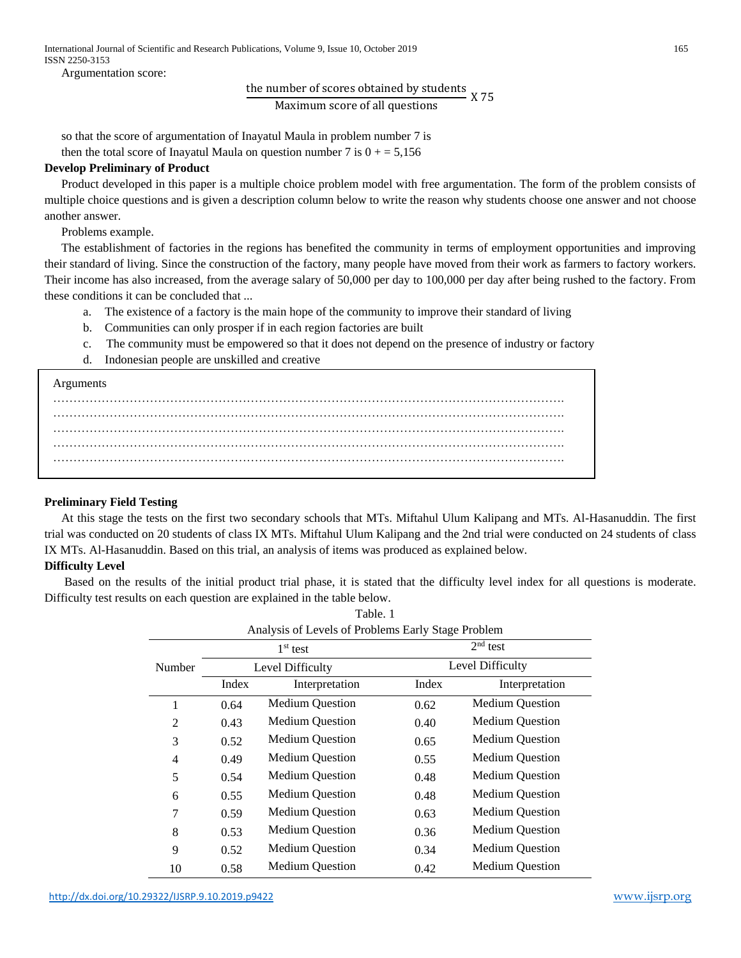Argumentation score:

the number of scores obtained by students  $\widetilde{X}$  X 75

Maximum score of all questions

so that the score of argumentation of Inayatul Maula in problem number 7 is then the total score of Inayatul Maula on question number 7 is  $0 + 5,156$ 

# **Develop Preliminary of Product**

Product developed in this paper is a multiple choice problem model with free argumentation. The form of the problem consists of multiple choice questions and is given a description column below to write the reason why students choose one answer and not choose another answer.

Problems example.

The establishment of factories in the regions has benefited the community in terms of employment opportunities and improving their standard of living. Since the construction of the factory, many people have moved from their work as farmers to factory workers. Their income has also increased, from the average salary of 50,000 per day to 100,000 per day after being rushed to the factory. From these conditions it can be concluded that ...

- a. The existence of a factory is the main hope of the community to improve their standard of living
- b. Communities can only prosper if in each region factories are built
- c. The community must be empowered so that it does not depend on the presence of industry or factory
- d. Indonesian people are unskilled and creative



# **Preliminary Field Testing**

At this stage the tests on the first two secondary schools that MTs. Miftahul Ulum Kalipang and MTs. Al-Hasanuddin. The first trial was conducted on 20 students of class IX MTs. Miftahul Ulum Kalipang and the 2nd trial were conducted on 24 students of class IX MTs. Al-Hasanuddin. Based on this trial, an analysis of items was produced as explained below.

# **Difficulty Level**

Based on the results of the initial product trial phase, it is stated that the difficulty level index for all questions is moderate. Difficulty test results on each question are explained in the table below.

Table. 1

| Analysis of Levels of Problems Early Stage Problem |                  |                        |                  |                        |  |  |  |  |
|----------------------------------------------------|------------------|------------------------|------------------|------------------------|--|--|--|--|
|                                                    | $1st$ test       |                        | $2nd$ test       |                        |  |  |  |  |
| Number                                             | Level Difficulty |                        | Level Difficulty |                        |  |  |  |  |
|                                                    | Index            | Interpretation         | Index            | Interpretation         |  |  |  |  |
| 1                                                  | 0.64             | <b>Medium Question</b> | 0.62             | <b>Medium Question</b> |  |  |  |  |
| $\overline{2}$                                     | 0.43             | <b>Medium Question</b> | 0.40             | <b>Medium Question</b> |  |  |  |  |
| 3                                                  | 0.52             | <b>Medium Question</b> | 0.65             | <b>Medium Question</b> |  |  |  |  |
| 4                                                  | 0.49             | <b>Medium Question</b> | 0.55             | <b>Medium Question</b> |  |  |  |  |
| 5                                                  | 0.54             | <b>Medium Question</b> | 0.48             | <b>Medium Question</b> |  |  |  |  |
| 6                                                  | 0.55             | <b>Medium Question</b> | 0.48             | <b>Medium Question</b> |  |  |  |  |
| 7                                                  | 0.59             | <b>Medium Question</b> | 0.63             | <b>Medium Question</b> |  |  |  |  |
| 8                                                  | 0.53             | <b>Medium Question</b> | 0.36             | <b>Medium Question</b> |  |  |  |  |
| 9                                                  | 0.52             | <b>Medium Question</b> | 0.34             | <b>Medium Question</b> |  |  |  |  |
| 10                                                 | 0.58             | <b>Medium Question</b> | 0.42             | <b>Medium Question</b> |  |  |  |  |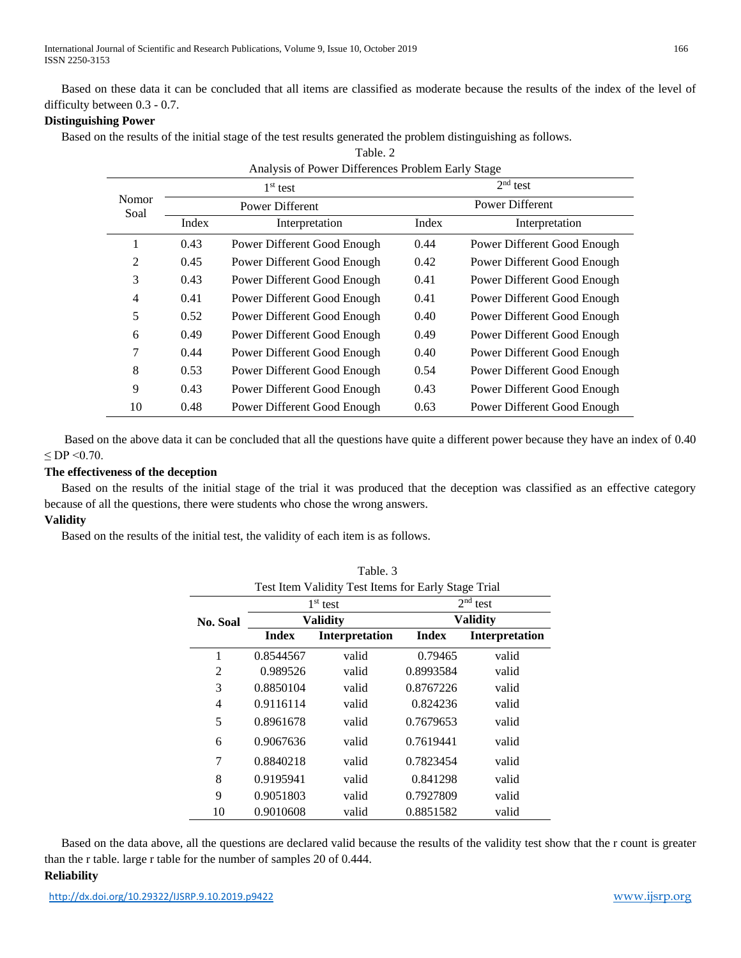International Journal of Scientific and Research Publications, Volume 9, Issue 10, October 2019 166 ISSN 2250-3153

Based on these data it can be concluded that all items are classified as moderate because the results of the index of the level of difficulty between 0.3 - 0.7.

#### **Distinguishing Power**

Based on the results of the initial stage of the test results generated the problem distinguishing as follows.

| Table. 2                                          |       |                             |            |                             |  |  |  |  |  |
|---------------------------------------------------|-------|-----------------------------|------------|-----------------------------|--|--|--|--|--|
| Analysis of Power Differences Problem Early Stage |       |                             |            |                             |  |  |  |  |  |
| Nomor<br>Soal                                     |       | $1st$ test                  | $2nd$ test |                             |  |  |  |  |  |
|                                                   |       | Power Different             |            | Power Different             |  |  |  |  |  |
|                                                   | Index | Interpretation              | Index      | Interpretation              |  |  |  |  |  |
| 1                                                 | 0.43  | Power Different Good Enough | 0.44       | Power Different Good Enough |  |  |  |  |  |
| 2                                                 | 0.45  | Power Different Good Enough | 0.42       | Power Different Good Enough |  |  |  |  |  |
| 3                                                 | 0.43  | Power Different Good Enough | 0.41       | Power Different Good Enough |  |  |  |  |  |
| $\overline{4}$                                    | 0.41  | Power Different Good Enough | 0.41       | Power Different Good Enough |  |  |  |  |  |
| 5                                                 | 0.52  | Power Different Good Enough | 0.40       | Power Different Good Enough |  |  |  |  |  |
| 6                                                 | 0.49  | Power Different Good Enough | 0.49       | Power Different Good Enough |  |  |  |  |  |
| 7                                                 | 0.44  | Power Different Good Enough | 0.40       | Power Different Good Enough |  |  |  |  |  |
| 8                                                 | 0.53  | Power Different Good Enough | 0.54       | Power Different Good Enough |  |  |  |  |  |
| 9                                                 | 0.43  | Power Different Good Enough | 0.43       | Power Different Good Enough |  |  |  |  |  |
| 10                                                | 0.48  | Power Different Good Enough | 0.63       | Power Different Good Enough |  |  |  |  |  |

Based on the above data it can be concluded that all the questions have quite a different power because they have an index of 0.40  $\leq$  DP  $\leq$  0.70.

### **The effectiveness of the deception**

Based on the results of the initial stage of the trial it was produced that the deception was classified as an effective category because of all the questions, there were students who chose the wrong answers.

Table. 3

# **Validity**

Based on the results of the initial test, the validity of each item is as follows.

| Test Item Validity Test Items for Early Stage Trial |              |                       |                 |                       |  |  |  |  |
|-----------------------------------------------------|--------------|-----------------------|-----------------|-----------------------|--|--|--|--|
|                                                     |              | $1st$ test            | $2nd$ test      |                       |  |  |  |  |
| No. Soal                                            |              | <b>Validity</b>       | <b>Validity</b> |                       |  |  |  |  |
|                                                     | <b>Index</b> | <b>Interpretation</b> |                 | <b>Interpretation</b> |  |  |  |  |
| 1                                                   | 0.8544567    | valid                 | 0.79465         | valid                 |  |  |  |  |
| 2                                                   | 0.989526     | valid                 | 0.8993584       | valid                 |  |  |  |  |
| 3                                                   | 0.8850104    | valid                 | 0.8767226       | valid                 |  |  |  |  |
| 4                                                   | 0.9116114    | valid                 | 0.824236        | valid                 |  |  |  |  |
| 5                                                   | 0.8961678    | valid                 | 0.7679653       | valid                 |  |  |  |  |
| 6                                                   | 0.9067636    | valid                 | 0.7619441       | valid                 |  |  |  |  |
| 7                                                   | 0.8840218    | valid                 | 0.7823454       | valid                 |  |  |  |  |
| 8                                                   | 0.9195941    | valid                 | 0.841298        | valid                 |  |  |  |  |
| 9                                                   | 0.9051803    | valid                 | 0.7927809       | valid                 |  |  |  |  |
| 10                                                  | 0.9010608    | valid                 | 0.8851582       | valid                 |  |  |  |  |

Based on the data above, all the questions are declared valid because the results of the validity test show that the r count is greater than the r table. large r table for the number of samples 20 of 0.444. **Reliability**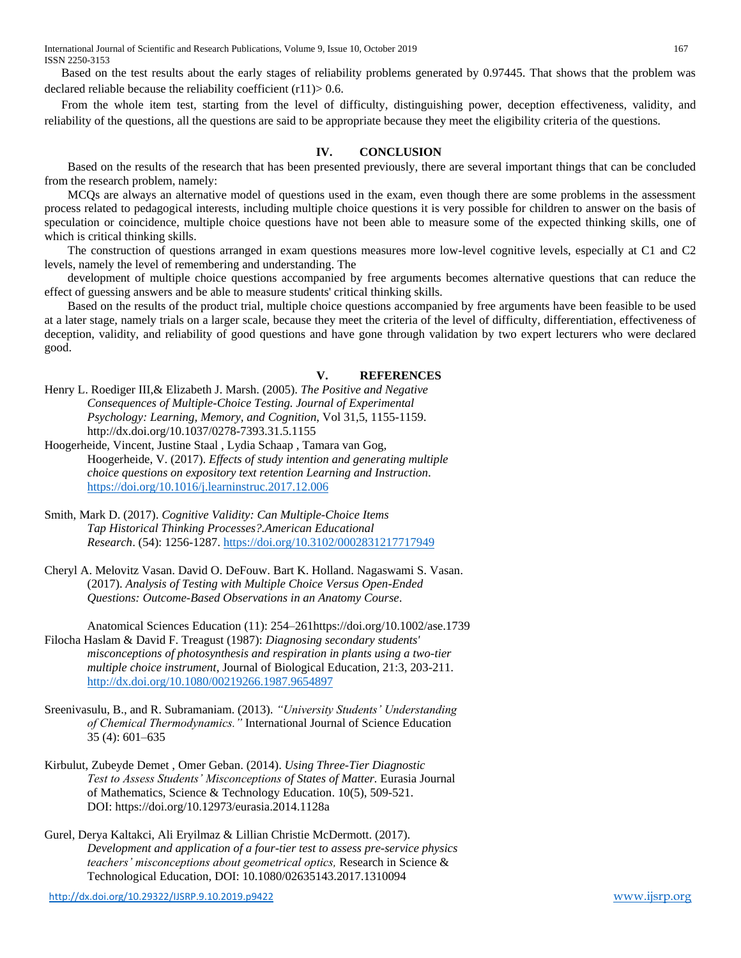Based on the test results about the early stages of reliability problems generated by 0.97445. That shows that the problem was declared reliable because the reliability coefficient  $(r11)$  > 0.6.

From the whole item test, starting from the level of difficulty, distinguishing power, deception effectiveness, validity, and reliability of the questions, all the questions are said to be appropriate because they meet the eligibility criteria of the questions.

#### **IV. CONCLUSION**

Based on the results of the research that has been presented previously, there are several important things that can be concluded from the research problem, namely:

MCQs are always an alternative model of questions used in the exam, even though there are some problems in the assessment process related to pedagogical interests, including multiple choice questions it is very possible for children to answer on the basis of speculation or coincidence, multiple choice questions have not been able to measure some of the expected thinking skills, one of which is critical thinking skills.

The construction of questions arranged in exam questions measures more low-level cognitive levels, especially at C1 and C2 levels, namely the level of remembering and understanding. The

development of multiple choice questions accompanied by free arguments becomes alternative questions that can reduce the effect of guessing answers and be able to measure students' critical thinking skills.

Based on the results of the product trial, multiple choice questions accompanied by free arguments have been feasible to be used at a later stage, namely trials on a larger scale, because they meet the criteria of the level of difficulty, differentiation, effectiveness of deception, validity, and reliability of good questions and have gone through validation by two expert lecturers who were declared good.

#### **V. REFERENCES**

Henry L. Roediger III,& Elizabeth J. Marsh. (2005). *The Positive and Negative Consequences of Multiple-Choice Testing. Journal of Experimental Psychology: Learning, Memory, and Cognition*, Vol 31,5, 1155-1159. [http://dx.doi.org/10.1037/0278-7393.31.5.1155](http://psycnet.apa.org/doi/10.1037/0278-7393.31.5.1155)

Hoogerheide, Vincent, Justine Staal , Lydia Schaap , Tamara van Gog, Hoogerheide, V. (2017). *Effects of study intention and generating multiple choice questions on expository text retention Learning and Instruction*. <https://doi.org/10.1016/j.learninstruc.2017.12.006>

- Smith, Mark D. (2017). *Cognitive Validity: Can Multiple-Choice Items Tap Historical Thinking Processes?.American Educational Research*. (54): 1256-1287[. https://doi.org/10.3102/0002831217717949](https://doi.org/10.3102/0002831217717949)
- [Cheryl A. Melovitz Vasan.](https://onlinelibrary.wiley.com/action/doSearch?ContribAuthorStored=Melovitz+Vasan%2C+Cheryl+A) [David O. DeFouw.](https://onlinelibrary.wiley.com/action/doSearch?ContribAuthorStored=DeFouw%2C+David+O) [Bart K. Holland.](https://onlinelibrary.wiley.com/action/doSearch?ContribAuthorStored=Holland%2C+Bart+K) [Nagaswami S. Vasan.](https://onlinelibrary.wiley.com/action/doSearch?ContribAuthorStored=Vasan%2C+Nagaswami+S) (2017). *Analysis of Testing with Multiple Choice Versus Open-Ended Questions: Outcome-Based Observations in an Anatomy Course*.

Anatomical Sciences Education (11): 254–26[1https://doi.org/10.1002/ase.1739](https://doi.org/10.1002/ase.1739) Filocha Haslam & David F. Treagust (1987): *Diagnosing secondary students' misconceptions of photosynthesis and respiration in plants using a two-tier multiple choice instrument,* Journal of Biological Education, 21:3, 203-211. <http://dx.doi.org/10.1080/00219266.1987.9654897>

- Sreenivasulu, B., and R. Subramaniam. (2013). *"University Students' Understanding of Chemical Thermodynamics."* International Journal of Science Education 35 (4): 601–635
- Kirbulut[, Zubeyde Demet ,](http://www.ejmste.com/Author-Zubeyde%20Demet-Kirbulut/61883) [Omer Geban.](http://www.ejmste.com/Author-Omer-Geban/31473) (2014). *Using Three-Tier Diagnostic Test to Assess Students' Misconceptions of States of Matter.* Eurasia Journal of Mathematics, Science & Technology Education. 10(5), 509-521. [DOI: https://doi.org/10.12973/eurasia.2014.1128a](https://doi.org/10.12973/eurasia.2014.1128a)
- Gurel, Derya Kaltakci, Ali Eryilmaz & Lillian Christie McDermott. (2017). *Development and application of a four-tier test to assess pre-service physics teachers' misconceptions about geometrical optics,* Research in Science & Technological Education, DOI: 10.1080/02635143.2017.1310094